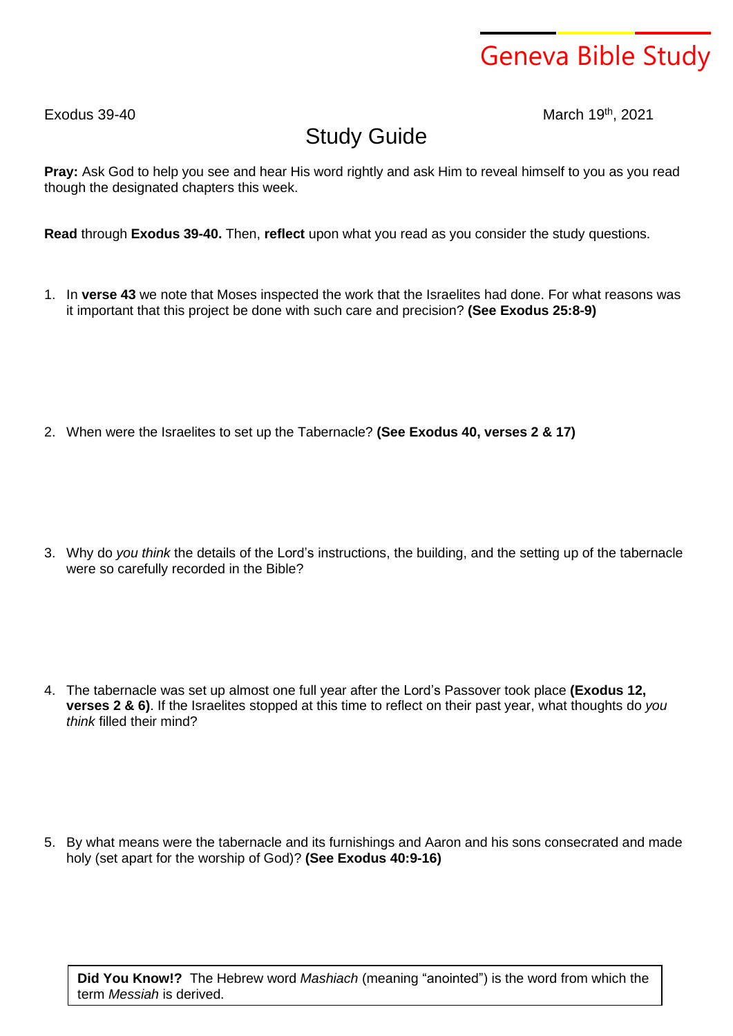## Geneva Bible Study

 $F$ xodus 39-40

th , 2021

## Study Guide

**Pray:** Ask God to help you see and hear His word rightly and ask Him to reveal himself to you as you read though the designated chapters this week.

**Read** through **Exodus 39-40.** Then, **reflect** upon what you read as you consider the study questions.

- 1. In **verse 43** we note that Moses inspected the work that the Israelites had done. For what reasons was it important that this project be done with such care and precision? **(See Exodus 25:8-9)**
- 2. When were the Israelites to set up the Tabernacle? **(See Exodus 40, verses 2 & 17)**

3. Why do *you think* the details of the Lord's instructions, the building, and the setting up of the tabernacle were so carefully recorded in the Bible?

4. The tabernacle was set up almost one full year after the Lord's Passover took place **(Exodus 12, verses 2 & 6)**. If the Israelites stopped at this time to reflect on their past year, what thoughts do *you think* filled their mind?

5. By what means were the tabernacle and its furnishings and Aaron and his sons consecrated and made holy (set apart for the worship of God)? **(See Exodus 40:9-16)**

**Did You Know!?** The Hebrew word *Mashiach* (meaning "anointed") is the word from which the term *Messiah* is derived.